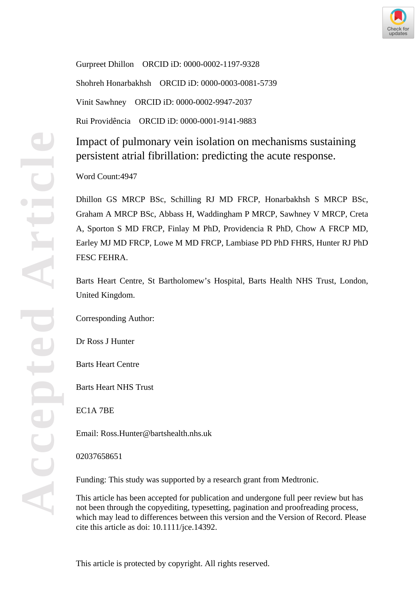

Gurpreet Dhillon ORCID iD: 0000-0002-1197-9328 Shohreh Honarbakhsh ORCID iD: 0000-0003-0081-5739 Vinit Sawhney ORCID iD: 0000-0002-9947-2037 Rui Providência ORCID iD: 0000-0001-9141-9883

Impact of pulmonary vein isolation on mechanisms sustaining persistent atrial fibrillation: predicting the acute response.

Word Count:4947

Dhillon GS MRCP BSc, Schilling RJ MD FRCP, Honarbakhsh S MRCP BSc, Graham A MRCP BSc, Abbass H, Waddingham P MRCP, Sawhney V MRCP, Creta A, Sporton S MD FRCP, Finlay M PhD, Providencia R PhD, Chow A FRCP MD, Earley MJ MD FRCP, Lowe M MD FRCP, Lambiase PD PhD FHRS, Hunter RJ PhD FESC FEHRA.

Barts Heart Centre, St Bartholomew's Hospital, Barts Health NHS Trust, London, United Kingdom.

Corresponding Author:

Dr Ross J Hunter

Barts Heart Centre

Barts Heart NHS Trust

EC1A 7BE

Email: Ross.Hunter@bartshealth.nhs.uk

02037658651

Funding: This study was supported by a research grant from Medtronic.

This article has been accepted for publication and undergone full peer review but has not been through the copyediting, typesetting, pagination and proofreading process, which may lead to differences between this version and the Version of Record. Please cite this article as doi: 10.1111/jce.14392.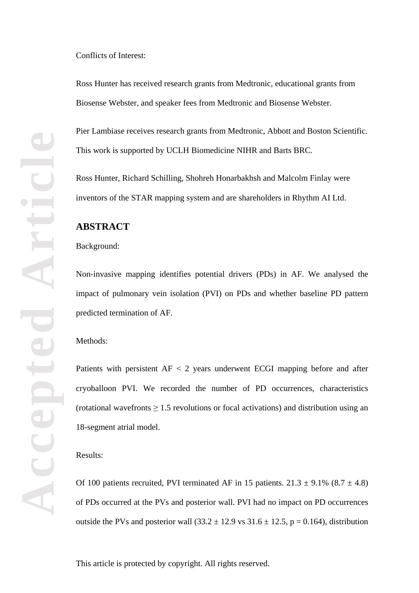Ross Hunter has received research grants from Medtronic, educational grants from Biosense Webster, and speaker fees from Medtronic and Biosense Webster.

Pier Lambiase receives research grants from Medtronic, Abbott and Boston Scientific. This work is supported by UCLH Biomedicine NIHR and Barts BRC.

Ross Hunter, Richard Schilling, Shohreh Honarbakhsh and Malcolm Finlay were inventors of the STAR mapping system and are shareholders in Rhythm AI Ltd.

## **ABSTRACT**

## Background:

Non-invasive mapping identifies potential drivers (PDs) in AF. We analysed the impact of pulmonary vein isolation (PVI) on PDs and whether baseline PD pattern predicted termination of AF.

#### Methods:

Patients with persistent AF < 2 years underwent ECGI mapping before and after cryoballoon PVI. We recorded the number of PD occurrences, characteristics (rotational wavefronts  $\geq 1.5$  revolutions or focal activations) and distribution using an 18-segment atrial model.

#### Results:

Of 100 patients recruited, PVI terminated AF in 15 patients.  $21.3 \pm 9.1\%$  (8.7  $\pm$  4.8) of PDs occurred at the PVs and posterior wall. PVI had no impact on PD occurrences outside the PVs and posterior wall  $(33.2 \pm 12.9 \text{ vs } 31.6 \pm 12.5, p = 0.164)$ , distribution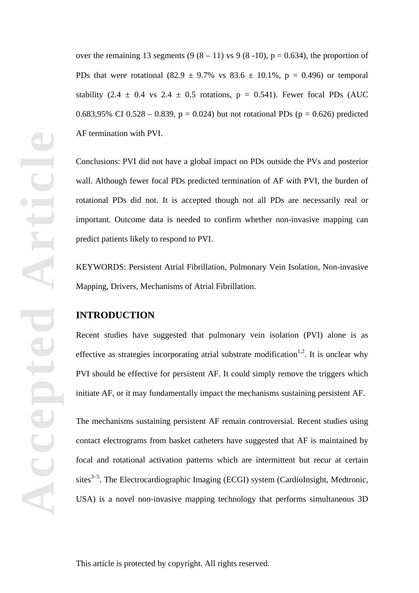**Accepted Article** poted Acc

over the remaining 13 segments  $(9 (8 – 11)$  vs  $(9 (8 – 10))$ ,  $p = 0.634$ ), the proportion of PDs that were rotational  $(82.9 \pm 9.7\% \text{ vs } 83.6 \pm 10.1\% \text{, } p = 0.496)$  or temporal stability (2.4  $\pm$  0.4 vs 2.4  $\pm$  0.5 rotations, p = 0.541). Fewer focal PDs (AUC 0.683,95% CI 0.528 – 0.839,  $p = 0.024$ ) but not rotational PDs ( $p = 0.626$ ) predicted AF termination with PVI.

Conclusions: PVI did not have a global impact on PDs outside the PVs and posterior wall. Although fewer focal PDs predicted termination of AF with PVI, the burden of rotational PDs did not. It is accepted though not all PDs are necessarily real or important. Outcome data is needed to confirm whether non-invasive mapping can predict patients likely to respond to PVI.

KEYWORDS: Persistent Atrial Fibrillation, Pulmonary Vein Isolation, Non-invasive Mapping, Drivers, Mechanisms of Atrial Fibrillation.

## **INTRODUCTION**

Recent studies have suggested that pulmonary vein isolation (PVI) alone is as effective as strategies incorporating atrial substrate modification<sup>1,2</sup>. It is unclear why PVI should be effective for persistent AF. It could simply remove the triggers which initiate AF, or it may fundamentally impact the mechanisms sustaining persistent AF.

The mechanisms sustaining persistent AF remain controversial. Recent studies using contact electrograms from basket catheters have suggested that AF is maintained by focal and rotational activation patterns which are intermittent but recur at certain sites<sup>3–5</sup>. The Electrocardiographic Imaging (ECGI) system (CardioInsight, Medtronic, USA) is a novel non-invasive mapping technology that performs simultaneous 3D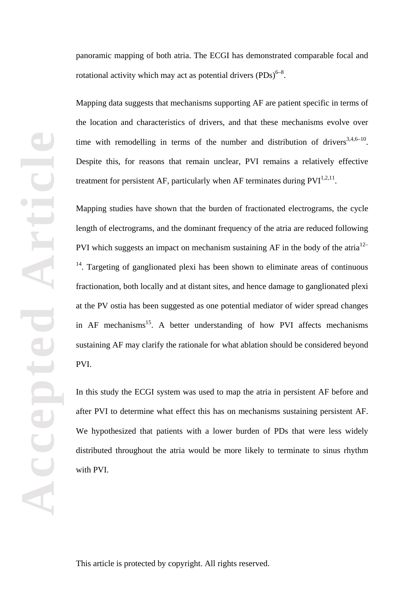panoramic mapping of both atria. The ECGI has demonstrated comparable focal and rotational activity which may act as potential drivers  $(PDs)^{6-8}$ .

Mapping data suggests that mechanisms supporting AF are patient specific in terms of the location and characteristics of drivers, and that these mechanisms evolve over time with remodelling in terms of the number and distribution of drivers<sup>3,4,6–10</sup>. Despite this, for reasons that remain unclear, PVI remains a relatively effective treatment for persistent AF, particularly when AF terminates during  $PVI^{1,2,11}$ .

Mapping studies have shown that the burden of fractionated electrograms, the cycle length of electrograms, and the dominant frequency of the atria are reduced following PVI which suggests an impact on mechanism sustaining AF in the body of the atri $a^{12-}$  $14$ . Targeting of ganglionated plexi has been shown to eliminate areas of continuous fractionation, both locally and at distant sites, and hence damage to ganglionated plexi at the PV ostia has been suggested as one potential mediator of wider spread changes in  $AF$  mechanisms<sup>15</sup>. A better understanding of how PVI affects mechanisms sustaining AF may clarify the rationale for what ablation should be considered beyond PVI.

In this study the ECGI system was used to map the atria in persistent AF before and after PVI to determine what effect this has on mechanisms sustaining persistent AF. We hypothesized that patients with a lower burden of PDs that were less widely distributed throughout the atria would be more likely to terminate to sinus rhythm with PVI.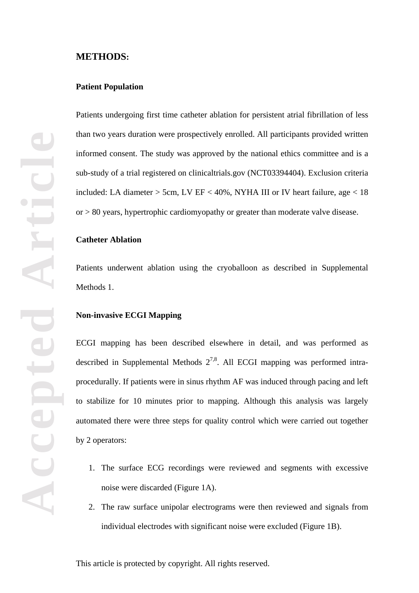## **METHODS:**

#### **Patient Population**

Patients undergoing first time catheter ablation for persistent atrial fibrillation of less than two years duration were prospectively enrolled. All participants provided written informed consent. The study was approved by the national ethics committee and is a sub-study of a trial registered on clinicaltrials.gov (NCT03394404). Exclusion criteria included: LA diameter  $>$  5cm, LV EF < 40%, NYHA III or IV heart failure, age < 18 or > 80 years, hypertrophic cardiomyopathy or greater than moderate valve disease.

## **Catheter Ablation**

Patients underwent ablation using the cryoballoon as described in Supplemental Methods 1.

#### **Non-invasive ECGI Mapping**

ECGI mapping has been described elsewhere in detail, and was performed as described in Supplemental Methods  $2^{7,8}$ . All ECGI mapping was performed intraprocedurally. If patients were in sinus rhythm AF was induced through pacing and left to stabilize for 10 minutes prior to mapping. Although this analysis was largely automated there were three steps for quality control which were carried out together by 2 operators:

- 1. The surface ECG recordings were reviewed and segments with excessive noise were discarded (Figure 1A).
- 2. The raw surface unipolar electrograms were then reviewed and signals from individual electrodes with significant noise were excluded (Figure 1B).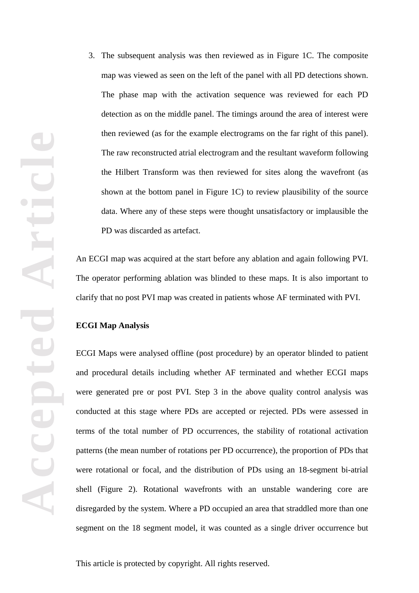3. The subsequent analysis was then reviewed as in Figure 1C. The composite map was viewed as seen on the left of the panel with all PD detections shown. The phase map with the activation sequence was reviewed for each PD detection as on the middle panel. The timings around the area of interest were then reviewed (as for the example electrograms on the far right of this panel). The raw reconstructed atrial electrogram and the resultant waveform following the Hilbert Transform was then reviewed for sites along the wavefront (as shown at the bottom panel in Figure 1C) to review plausibility of the source data. Where any of these steps were thought unsatisfactory or implausible the PD was discarded as artefact.

An ECGI map was acquired at the start before any ablation and again following PVI. The operator performing ablation was blinded to these maps. It is also important to clarify that no post PVI map was created in patients whose AF terminated with PVI.

## **ECGI Map Analysis**

ECGI Maps were analysed offline (post procedure) by an operator blinded to patient and procedural details including whether AF terminated and whether ECGI maps were generated pre or post PVI. Step 3 in the above quality control analysis was conducted at this stage where PDs are accepted or rejected. PDs were assessed in terms of the total number of PD occurrences, the stability of rotational activation patterns (the mean number of rotations per PD occurrence), the proportion of PDs that were rotational or focal, and the distribution of PDs using an 18-segment bi-atrial shell (Figure 2). Rotational wavefronts with an unstable wandering core are disregarded by the system. Where a PD occupied an area that straddled more than one segment on the 18 segment model, it was counted as a single driver occurrence but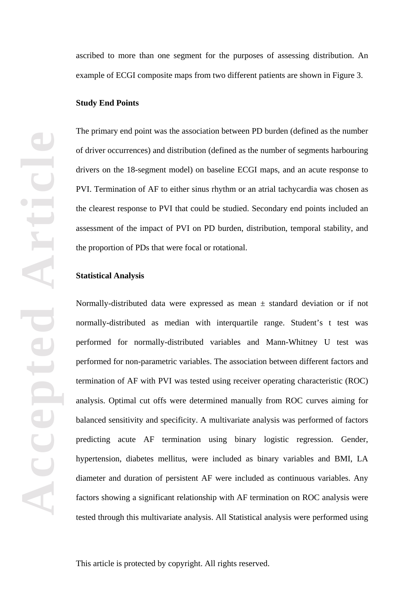ascribed to more than one segment for the purposes of assessing distribution. An example of ECGI composite maps from two different patients are shown in Figure 3.

#### **Study End Points**

The primary end point was the association between PD burden (defined as the number of driver occurrences) and distribution (defined as the number of segments harbouring drivers on the 18-segment model) on baseline ECGI maps, and an acute response to PVI. Termination of AF to either sinus rhythm or an atrial tachycardia was chosen as the clearest response to PVI that could be studied. Secondary end points included an assessment of the impact of PVI on PD burden, distribution, temporal stability, and the proportion of PDs that were focal or rotational.

#### **Statistical Analysis**

Normally-distributed data were expressed as mean  $\pm$  standard deviation or if not normally-distributed as median with interquartile range. Student's t test was performed for normally-distributed variables and Mann-Whitney U test was performed for non-parametric variables. The association between different factors and termination of AF with PVI was tested using receiver operating characteristic (ROC) analysis. Optimal cut offs were determined manually from ROC curves aiming for balanced sensitivity and specificity. A multivariate analysis was performed of factors predicting acute AF termination using binary logistic regression. Gender, hypertension, diabetes mellitus, were included as binary variables and BMI, LA diameter and duration of persistent AF were included as continuous variables. Any factors showing a significant relationship with AF termination on ROC analysis were tested through this multivariate analysis. All Statistical analysis were performed using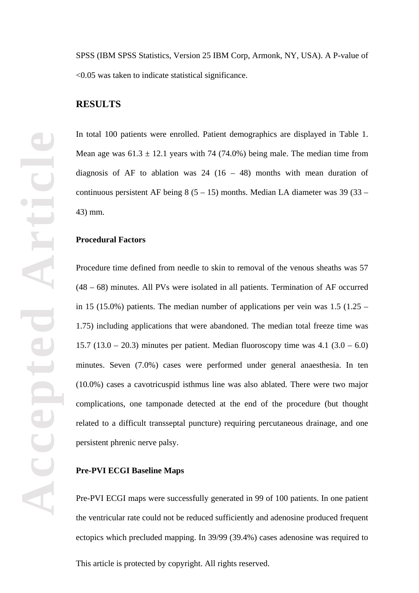SPSS (IBM SPSS Statistics, Version 25 IBM Corp, Armonk, NY, USA). A P-value of <0.05 was taken to indicate statistical significance.

## **RESULTS**

In total 100 patients were enrolled. Patient demographics are displayed in Table 1. Mean age was  $61.3 \pm 12.1$  years with 74 (74.0%) being male. The median time from diagnosis of AF to ablation was  $24$  (16 – 48) months with mean duration of continuous persistent AF being  $8(5 - 15)$  months. Median LA diameter was 39 (33 – 43) mm.

## **Procedural Factors**

Procedure time defined from needle to skin to removal of the venous sheaths was 57 (48 – 68) minutes. All PVs were isolated in all patients. Termination of AF occurred in 15 (15.0%) patients. The median number of applications per vein was  $1.5$  (1.25 – 1.75) including applications that were abandoned. The median total freeze time was 15.7 (13.0 – 20.3) minutes per patient. Median fluoroscopy time was  $4.1$  (3.0 – 6.0) minutes. Seven (7.0%) cases were performed under general anaesthesia. In ten (10.0%) cases a cavotricuspid isthmus line was also ablated. There were two major complications, one tamponade detected at the end of the procedure (but thought related to a difficult transseptal puncture) requiring percutaneous drainage, and one persistent phrenic nerve palsy.

#### **Pre-PVI ECGI Baseline Maps**

Pre-PVI ECGI maps were successfully generated in 99 of 100 patients. In one patient the ventricular rate could not be reduced sufficiently and adenosine produced frequent ectopics which precluded mapping. In 39/99 (39.4%) cases adenosine was required to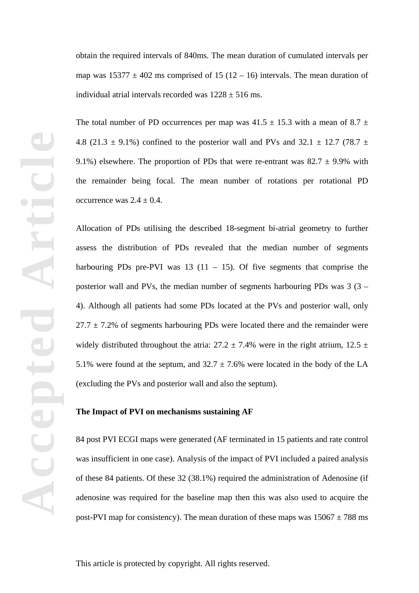obtain the required intervals of 840ms. The mean duration of cumulated intervals per map was  $15377 \pm 402$  ms comprised of 15 (12 – 16) intervals. The mean duration of individual atrial intervals recorded was  $1228 \pm 516$  ms.

The total number of PD occurrences per map was  $41.5 \pm 15.3$  with a mean of  $8.7 \pm 10^{-10}$ 4.8 (21.3  $\pm$  9.1%) confined to the posterior wall and PVs and 32.1  $\pm$  12.7 (78.7  $\pm$ 9.1%) elsewhere. The proportion of PDs that were re-entrant was  $82.7 \pm 9.9\%$  with the remainder being focal. The mean number of rotations per rotational PD occurrence was  $2.4 \pm 0.4$ .

Allocation of PDs utilising the described 18-segment bi-atrial geometry to further assess the distribution of PDs revealed that the median number of segments harbouring PDs pre-PVI was 13 (11 – 15). Of five segments that comprise the posterior wall and PVs, the median number of segments harbouring PDs was 3 (3 – 4). Although all patients had some PDs located at the PVs and posterior wall, only  $27.7 \pm 7.2$ % of segments harbouring PDs were located there and the remainder were widely distributed throughout the atria:  $27.2 \pm 7.4\%$  were in the right atrium,  $12.5 \pm 7.4\%$ 5.1% were found at the septum, and  $32.7 \pm 7.6$ % were located in the body of the LA (excluding the PVs and posterior wall and also the septum).

## **The Impact of PVI on mechanisms sustaining AF**

84 post PVI ECGI maps were generated (AF terminated in 15 patients and rate control was insufficient in one case). Analysis of the impact of PVI included a paired analysis of these 84 patients. Of these 32 (38.1%) required the administration of Adenosine (if adenosine was required for the baseline map then this was also used to acquire the post-PVI map for consistency). The mean duration of these maps was  $15067 \pm 788$  ms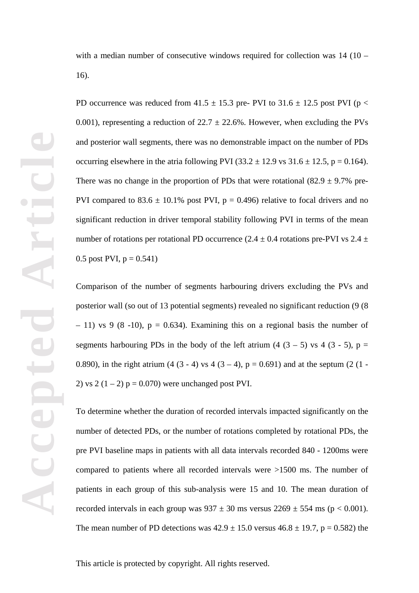with a median number of consecutive windows required for collection was 14 (10 – 16).

PD occurrence was reduced from 41.5  $\pm$  15.3 pre- PVI to 31.6  $\pm$  12.5 post PVI (p < 0.001), representing a reduction of  $22.7 \pm 22.6$ %. However, when excluding the PVs and posterior wall segments, there was no demonstrable impact on the number of PDs occurring elsewhere in the atria following PVI (33.2  $\pm$  12.9 vs 31.6  $\pm$  12.5, p = 0.164). There was no change in the proportion of PDs that were rotational  $(82.9 \pm 9.7\%)$  pre-PVI compared to  $83.6 \pm 10.1\%$  post PVI, p = 0.496) relative to focal drivers and no significant reduction in driver temporal stability following PVI in terms of the mean number of rotations per rotational PD occurrence (2.4  $\pm$  0.4 rotations pre-PVI vs 2.4  $\pm$ 0.5 post PVI,  $p = 0.541$ )

Comparison of the number of segments harbouring drivers excluding the PVs and posterior wall (so out of 13 potential segments) revealed no significant reduction (9 (8  $-11$ ) vs 9 (8 -10), p = 0.634). Examining this on a regional basis the number of segments harbouring PDs in the body of the left atrium  $(4 (3 – 5)$  vs  $4 (3 – 5)$ , p = 0.890), in the right atrium  $(4 (3 - 4) \text{ vs } 4 (3 - 4), p = 0.691)$  and at the septum  $(2 (1 -$ 2) vs  $2(1 – 2)$  p = 0.070) were unchanged post PVI.

To determine whether the duration of recorded intervals impacted significantly on the number of detected PDs, or the number of rotations completed by rotational PDs, the pre PVI baseline maps in patients with all data intervals recorded 840 - 1200ms were compared to patients where all recorded intervals were >1500 ms. The number of patients in each group of this sub-analysis were 15 and 10. The mean duration of recorded intervals in each group was  $937 \pm 30$  ms versus  $2269 \pm 554$  ms (p < 0.001). The mean number of PD detections was  $42.9 \pm 15.0$  versus  $46.8 \pm 19.7$ , p = 0.582) the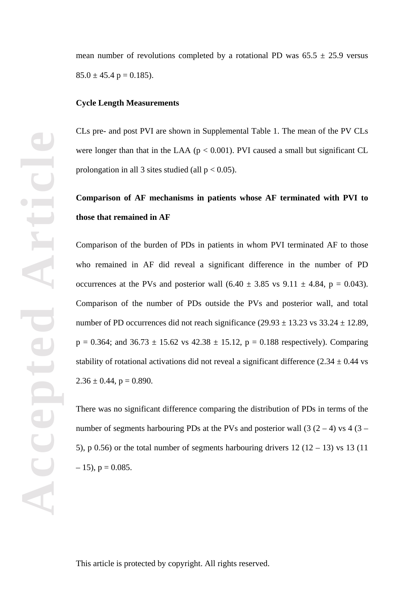mean number of revolutions completed by a rotational PD was  $65.5 \pm 25.9$  versus  $85.0 \pm 45.4 \text{ p} = 0.185$ .

#### **Cycle Length Measurements**

CLs pre- and post PVI are shown in Supplemental Table 1. The mean of the PV CLs were longer than that in the LAA ( $p < 0.001$ ). PVI caused a small but significant CL prolongation in all 3 sites studied (all  $p < 0.05$ ).

# **Comparison of AF mechanisms in patients whose AF terminated with PVI to those that remained in AF**

Comparison of the burden of PDs in patients in whom PVI terminated AF to those who remained in AF did reveal a significant difference in the number of PD occurrences at the PVs and posterior wall  $(6.40 \pm 3.85 \text{ vs } 9.11 \pm 4.84, p = 0.043)$ . Comparison of the number of PDs outside the PVs and posterior wall, and total number of PD occurrences did not reach significance  $(29.93 \pm 13.23 \text{ vs } 33.24 \pm 12.89)$ ,  $p = 0.364$ ; and  $36.73 \pm 15.62$  vs  $42.38 \pm 15.12$ ,  $p = 0.188$  respectively). Comparing stability of rotational activations did not reveal a significant difference  $(2.34 \pm 0.44 \text{ vs } 1.44)$  $2.36 \pm 0.44$ , p = 0.890.

There was no significant difference comparing the distribution of PDs in terms of the number of segments harbouring PDs at the PVs and posterior wall  $(3 (2 – 4)$  vs  $(3 – 4)$ 5), p 0.56) or the total number of segments harbouring drivers  $12(12 - 13)$  vs  $13(11)$  $-15$ , p = 0.085.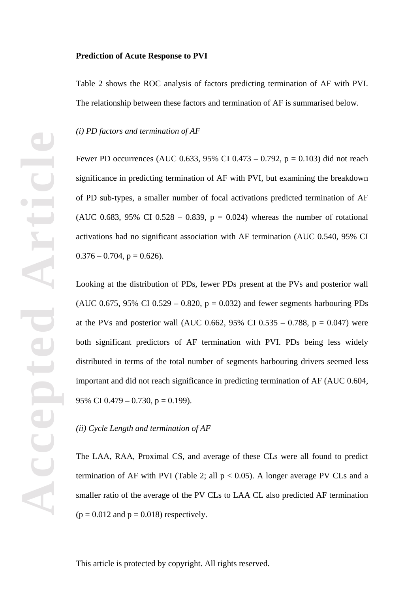Table 2 shows the ROC analysis of factors predicting termination of AF with PVI. The relationship between these factors and termination of AF is summarised below.

*(i) PD factors and termination of AF*

Fewer PD occurrences (AUC 0.633, 95% CI 0.473 – 0.792,  $p = 0.103$ ) did not reach significance in predicting termination of AF with PVI, but examining the breakdown of PD sub-types, a smaller number of focal activations predicted termination of AF (AUC 0.683, 95% CI 0.528 – 0.839,  $p = 0.024$ ) whereas the number of rotational activations had no significant association with AF termination (AUC 0.540, 95% CI  $0.376 - 0.704$ ,  $p = 0.626$ ).

Looking at the distribution of PDs, fewer PDs present at the PVs and posterior wall (AUC 0.675, 95% CI 0.529 – 0.820,  $p = 0.032$ ) and fewer segments harbouring PDs at the PVs and posterior wall (AUC 0.662, 95% CI 0.535 – 0.788,  $p = 0.047$ ) were both significant predictors of AF termination with PVI. PDs being less widely distributed in terms of the total number of segments harbouring drivers seemed less important and did not reach significance in predicting termination of AF (AUC 0.604, 95% CI 0.479 – 0.730,  $p = 0.199$ ).

## *(ii) Cycle Length and termination of AF*

The LAA, RAA, Proximal CS, and average of these CLs were all found to predict termination of AF with PVI (Table 2; all  $p < 0.05$ ). A longer average PV CLs and a smaller ratio of the average of the PV CLs to LAA CL also predicted AF termination  $(p = 0.012$  and  $p = 0.018$ ) respectively.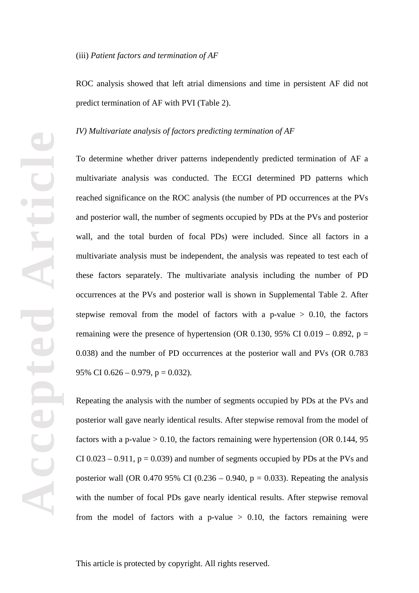ROC analysis showed that left atrial dimensions and time in persistent AF did not predict termination of AF with PVI (Table 2).

#### *IV) Multivariate analysis of factors predicting termination of AF*

To determine whether driver patterns independently predicted termination of AF a multivariate analysis was conducted. The ECGI determined PD patterns which reached significance on the ROC analysis (the number of PD occurrences at the PVs and posterior wall, the number of segments occupied by PDs at the PVs and posterior wall, and the total burden of focal PDs) were included. Since all factors in a multivariate analysis must be independent, the analysis was repeated to test each of these factors separately. The multivariate analysis including the number of PD occurrences at the PVs and posterior wall is shown in Supplemental Table 2. After stepwise removal from the model of factors with a p-value  $> 0.10$ , the factors remaining were the presence of hypertension (OR 0.130, 95% CI 0.019 – 0.892,  $p =$ 0.038) and the number of PD occurrences at the posterior wall and PVs (OR 0.783 95% CI  $0.626 - 0.979$ ,  $p = 0.032$ ).

Repeating the analysis with the number of segments occupied by PDs at the PVs and posterior wall gave nearly identical results. After stepwise removal from the model of factors with a p-value  $> 0.10$ , the factors remaining were hypertension (OR 0.144, 95) CI 0.023 – 0.911,  $p = 0.039$ ) and number of segments occupied by PDs at the PVs and posterior wall (OR 0.470 95% CI (0.236 – 0.940,  $p = 0.033$ ). Repeating the analysis with the number of focal PDs gave nearly identical results. After stepwise removal from the model of factors with a p-value  $> 0.10$ , the factors remaining were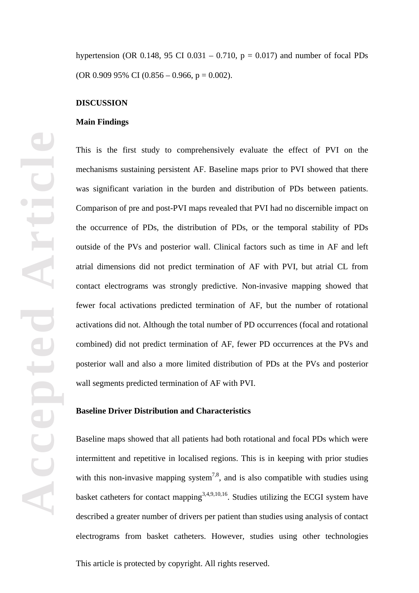hypertension (OR 0.148, 95 CI 0.031 – 0.710,  $p = 0.017$ ) and number of focal PDs (OR 0.909 95% CI (0.856 – 0.966, p = 0.002).

#### **DISCUSSION**

#### **Main Findings**

This is the first study to comprehensively evaluate the effect of PVI on the mechanisms sustaining persistent AF. Baseline maps prior to PVI showed that there was significant variation in the burden and distribution of PDs between patients. Comparison of pre and post-PVI maps revealed that PVI had no discernible impact on the occurrence of PDs, the distribution of PDs, or the temporal stability of PDs outside of the PVs and posterior wall. Clinical factors such as time in AF and left atrial dimensions did not predict termination of AF with PVI, but atrial CL from contact electrograms was strongly predictive. Non-invasive mapping showed that fewer focal activations predicted termination of AF, but the number of rotational activations did not. Although the total number of PD occurrences (focal and rotational combined) did not predict termination of AF, fewer PD occurrences at the PVs and posterior wall and also a more limited distribution of PDs at the PVs and posterior wall segments predicted termination of AF with PVI.

#### **Baseline Driver Distribution and Characteristics**

Baseline maps showed that all patients had both rotational and focal PDs which were intermittent and repetitive in localised regions. This is in keeping with prior studies with this non-invasive mapping system<sup>7,8</sup>, and is also compatible with studies using basket catheters for contact mapping<sup>3,4,9,10,16</sup>. Studies utilizing the ECGI system have described a greater number of drivers per patient than studies using analysis of contact electrograms from basket catheters. However, studies using other technologies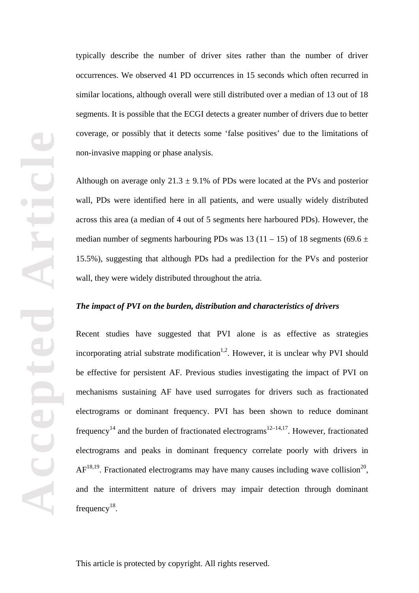typically describe the number of driver sites rather than the number of driver occurrences. We observed 41 PD occurrences in 15 seconds which often recurred in similar locations, although overall were still distributed over a median of 13 out of 18 segments. It is possible that the ECGI detects a greater number of drivers due to better coverage, or possibly that it detects some 'false positives' due to the limitations of non-invasive mapping or phase analysis.

Although on average only  $21.3 \pm 9.1\%$  of PDs were located at the PVs and posterior wall, PDs were identified here in all patients, and were usually widely distributed across this area (a median of 4 out of 5 segments here harboured PDs). However, the median number of segments harbouring PDs was 13 (11 – 15) of 18 segments (69.6  $\pm$ 15.5%), suggesting that although PDs had a predilection for the PVs and posterior wall, they were widely distributed throughout the atria.

## *The impact of PVI on the burden, distribution and characteristics of drivers*

Recent studies have suggested that PVI alone is as effective as strategies incorporating atrial substrate modification<sup>1,2</sup>. However, it is unclear why PVI should be effective for persistent AF. Previous studies investigating the impact of PVI on mechanisms sustaining AF have used surrogates for drivers such as fractionated electrograms or dominant frequency. PVI has been shown to reduce dominant frequency<sup>14</sup> and the burden of fractionated electrograms<sup>12–14,17</sup>. However, fractionated electrograms and peaks in dominant frequency correlate poorly with drivers in  $AF^{18,19}$ . Fractionated electrograms may have many causes including wave collision<sup>20</sup>, and the intermittent nature of drivers may impair detection through dominant frequency<sup>18</sup>.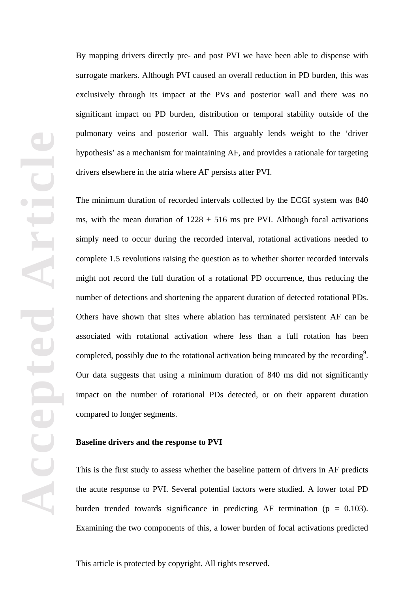**Accepted Article**  $\overline{\mathbf{c}}$ epte Acc

By mapping drivers directly pre- and post PVI we have been able to dispense with surrogate markers. Although PVI caused an overall reduction in PD burden, this was exclusively through its impact at the PVs and posterior wall and there was no significant impact on PD burden, distribution or temporal stability outside of the pulmonary veins and posterior wall. This arguably lends weight to the 'driver hypothesis' as a mechanism for maintaining AF, and provides a rationale for targeting drivers elsewhere in the atria where AF persists after PVI.

The minimum duration of recorded intervals collected by the ECGI system was 840 ms, with the mean duration of  $1228 \pm 516$  ms pre PVI. Although focal activations simply need to occur during the recorded interval, rotational activations needed to complete 1.5 revolutions raising the question as to whether shorter recorded intervals might not record the full duration of a rotational PD occurrence, thus reducing the number of detections and shortening the apparent duration of detected rotational PDs. Others have shown that sites where ablation has terminated persistent AF can be associated with rotational activation where less than a full rotation has been completed, possibly due to the rotational activation being truncated by the recording<sup>9</sup>. Our data suggests that using a minimum duration of 840 ms did not significantly impact on the number of rotational PDs detected, or on their apparent duration compared to longer segments.

#### **Baseline drivers and the response to PVI**

This is the first study to assess whether the baseline pattern of drivers in AF predicts the acute response to PVI. Several potential factors were studied. A lower total PD burden trended towards significance in predicting AF termination ( $p = 0.103$ ). Examining the two components of this, a lower burden of focal activations predicted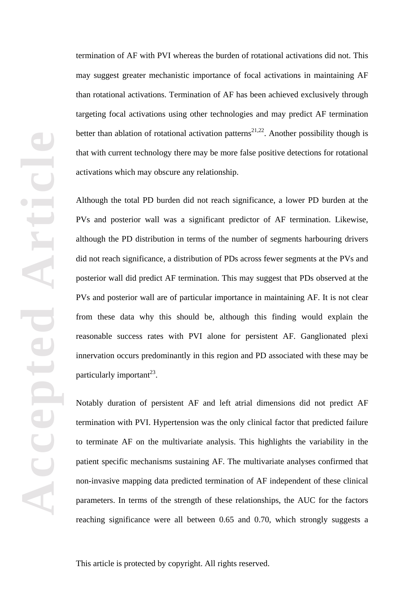termination of AF with PVI whereas the burden of rotational activations did not. This may suggest greater mechanistic importance of focal activations in maintaining AF than rotational activations. Termination of AF has been achieved exclusively through targeting focal activations using other technologies and may predict AF termination better than ablation of rotational activation patterns<sup>21,22</sup>. Another possibility though is that with current technology there may be more false positive detections for rotational activations which may obscure any relationship.

Although the total PD burden did not reach significance, a lower PD burden at the PVs and posterior wall was a significant predictor of AF termination. Likewise, although the PD distribution in terms of the number of segments harbouring drivers did not reach significance, a distribution of PDs across fewer segments at the PVs and posterior wall did predict AF termination. This may suggest that PDs observed at the PVs and posterior wall are of particular importance in maintaining AF. It is not clear from these data why this should be, although this finding would explain the reasonable success rates with PVI alone for persistent AF. Ganglionated plexi innervation occurs predominantly in this region and PD associated with these may be particularly important<sup>23</sup>.

Notably duration of persistent AF and left atrial dimensions did not predict AF termination with PVI. Hypertension was the only clinical factor that predicted failure to terminate AF on the multivariate analysis. This highlights the variability in the patient specific mechanisms sustaining AF. The multivariate analyses confirmed that non-invasive mapping data predicted termination of AF independent of these clinical parameters. In terms of the strength of these relationships, the AUC for the factors reaching significance were all between 0.65 and 0.70, which strongly suggests a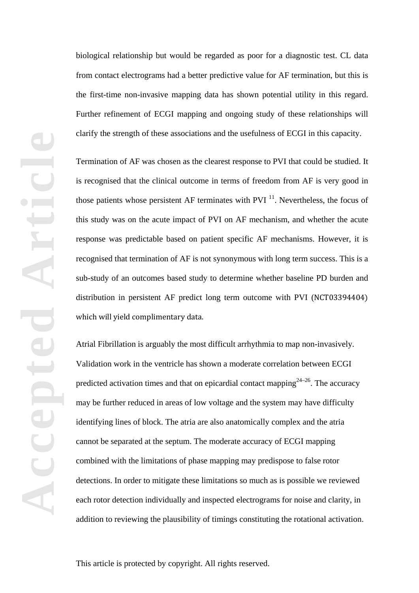biological relationship but would be regarded as poor for a diagnostic test. CL data from contact electrograms had a better predictive value for AF termination, but this is the first-time non-invasive mapping data has shown potential utility in this regard. Further refinement of ECGI mapping and ongoing study of these relationships will clarify the strength of these associations and the usefulness of ECGI in this capacity.

Termination of AF was chosen as the clearest response to PVI that could be studied. It is recognised that the clinical outcome in terms of freedom from AF is very good in those patients whose persistent AF terminates with PVI  $^{11}$ . Nevertheless, the focus of this study was on the acute impact of PVI on AF mechanism, and whether the acute response was predictable based on patient specific AF mechanisms. However, it is recognised that termination of AF is not synonymous with long term success. This is a sub-study of an outcomes based study to determine whether baseline PD burden and distribution in persistent AF predict long term outcome with PVI (NCT03394404) which will yield complimentary data.

Atrial Fibrillation is arguably the most difficult arrhythmia to map non-invasively. Validation work in the ventricle has shown a moderate correlation between ECGI predicted activation times and that on epicardial contact mapping<sup>24–26</sup>. The accuracy may be further reduced in areas of low voltage and the system may have difficulty identifying lines of block. The atria are also anatomically complex and the atria cannot be separated at the septum. The moderate accuracy of ECGI mapping combined with the limitations of phase mapping may predispose to false rotor detections. In order to mitigate these limitations so much as is possible we reviewed each rotor detection individually and inspected electrograms for noise and clarity, in addition to reviewing the plausibility of timings constituting the rotational activation.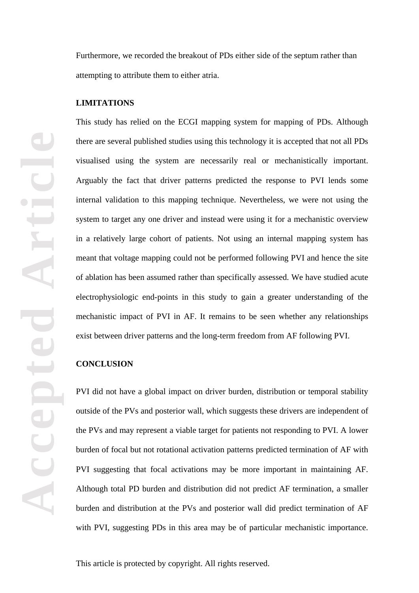Furthermore, we recorded the breakout of PDs either side of the septum rather than attempting to attribute them to either atria.

#### **LIMITATIONS**

This study has relied on the ECGI mapping system for mapping of PDs. Although there are several published studies using this technology it is accepted that not all PDs visualised using the system are necessarily real or mechanistically important. Arguably the fact that driver patterns predicted the response to PVI lends some internal validation to this mapping technique. Nevertheless, we were not using the system to target any one driver and instead were using it for a mechanistic overview in a relatively large cohort of patients. Not using an internal mapping system has meant that voltage mapping could not be performed following PVI and hence the site of ablation has been assumed rather than specifically assessed. We have studied acute electrophysiologic end-points in this study to gain a greater understanding of the mechanistic impact of PVI in AF. It remains to be seen whether any relationships exist between driver patterns and the long-term freedom from AF following PVI.

#### **CONCLUSION**

**Accepted Article**

Accep

PVI did not have a global impact on driver burden, distribution or temporal stability outside of the PVs and posterior wall, which suggests these drivers are independent of the PVs and may represent a viable target for patients not responding to PVI. A lower burden of focal but not rotational activation patterns predicted termination of AF with PVI suggesting that focal activations may be more important in maintaining AF. Although total PD burden and distribution did not predict AF termination, a smaller burden and distribution at the PVs and posterior wall did predict termination of AF with PVI, suggesting PDs in this area may be of particular mechanistic importance.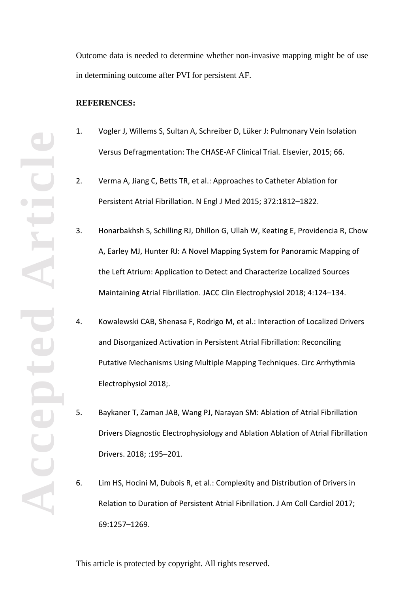Outcome data is needed to determine whether non-invasive mapping might be of use in determining outcome after PVI for persistent AF.

#### **REFERENCES:**

- 1. Vogler J, Willems S, Sultan A, Schreiber D, Lüker J: Pulmonary Vein Isolation Versus Defragmentation: The CHASE-AF Clinical Trial. Elsevier, 2015; 66.
- 2. Verma A, Jiang C, Betts TR, et al.: Approaches to Catheter Ablation for Persistent Atrial Fibrillation. N Engl J Med 2015; 372:1812–1822.
- 3. Honarbakhsh S, Schilling RJ, Dhillon G, Ullah W, Keating E, Providencia R, Chow A, Earley MJ, Hunter RJ: A Novel Mapping System for Panoramic Mapping of the Left Atrium: Application to Detect and Characterize Localized Sources Maintaining Atrial Fibrillation. JACC Clin Electrophysiol 2018; 4:124–134.
- 4. Kowalewski CAB, Shenasa F, Rodrigo M, et al.: Interaction of Localized Drivers and Disorganized Activation in Persistent Atrial Fibrillation: Reconciling Putative Mechanisms Using Multiple Mapping Techniques. Circ Arrhythmia Electrophysiol 2018;.
- 5. Baykaner T, Zaman JAB, Wang PJ, Narayan SM: Ablation of Atrial Fibrillation Drivers Diagnostic Electrophysiology and Ablation Ablation of Atrial Fibrillation Drivers. 2018; :195–201.
- 6. Lim HS, Hocini M, Dubois R, et al.: Complexity and Distribution of Drivers in Relation to Duration of Persistent Atrial Fibrillation. J Am Coll Cardiol 2017; 69:1257–1269.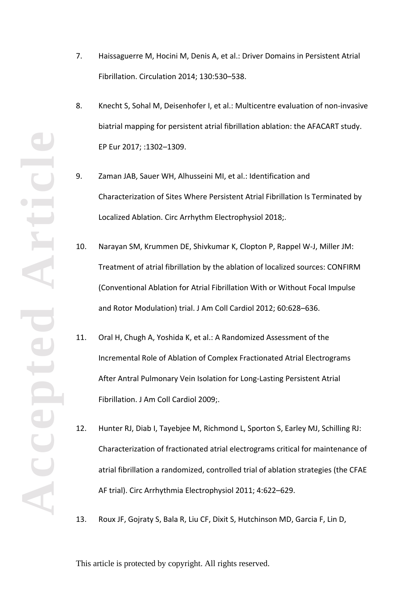- 7. Haissaguerre M, Hocini M, Denis A, et al.: Driver Domains in Persistent Atrial Fibrillation. Circulation 2014; 130:530–538.
- 8. Knecht S, Sohal M, Deisenhofer I, et al.: Multicentre evaluation of non-invasive biatrial mapping for persistent atrial fibrillation ablation: the AFACART study. EP Eur 2017; :1302–1309.
- 9. Zaman JAB, Sauer WH, Alhusseini MI, et al.: Identification and Characterization of Sites Where Persistent Atrial Fibrillation Is Terminated by Localized Ablation. Circ Arrhythm Electrophysiol 2018;.
- 10. Narayan SM, Krummen DE, Shivkumar K, Clopton P, Rappel W-J, Miller JM: Treatment of atrial fibrillation by the ablation of localized sources: CONFIRM (Conventional Ablation for Atrial Fibrillation With or Without Focal Impulse and Rotor Modulation) trial. J Am Coll Cardiol 2012; 60:628–636.
- 11. Oral H, Chugh A, Yoshida K, et al.: A Randomized Assessment of the Incremental Role of Ablation of Complex Fractionated Atrial Electrograms After Antral Pulmonary Vein Isolation for Long-Lasting Persistent Atrial Fibrillation. J Am Coll Cardiol 2009;.
- 12. Hunter RJ, Diab I, Tayebjee M, Richmond L, Sporton S, Earley MJ, Schilling RJ: Characterization of fractionated atrial electrograms critical for maintenance of atrial fibrillation a randomized, controlled trial of ablation strategies (the CFAE AF trial). Circ Arrhythmia Electrophysiol 2011; 4:622–629.
- 13. Roux JF, Gojraty S, Bala R, Liu CF, Dixit S, Hutchinson MD, Garcia F, Lin D,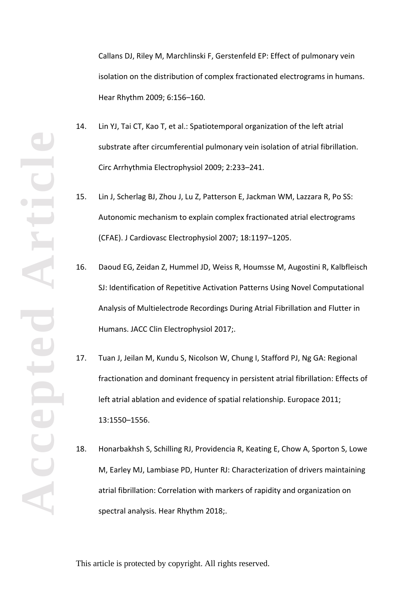**Accepted Article**

Callans DJ, Riley M, Marchlinski F, Gerstenfeld EP: Effect of pulmonary vein isolation on the distribution of complex fractionated electrograms in humans. Hear Rhythm 2009; 6:156–160.

- 14. Lin YJ, Tai CT, Kao T, et al.: Spatiotemporal organization of the left atrial substrate after circumferential pulmonary vein isolation of atrial fibrillation. Circ Arrhythmia Electrophysiol 2009; 2:233–241.
- 15. Lin J, Scherlag BJ, Zhou J, Lu Z, Patterson E, Jackman WM, Lazzara R, Po SS: Autonomic mechanism to explain complex fractionated atrial electrograms (CFAE). J Cardiovasc Electrophysiol 2007; 18:1197–1205.
- 16. Daoud EG, Zeidan Z, Hummel JD, Weiss R, Houmsse M, Augostini R, Kalbfleisch SJ: Identification of Repetitive Activation Patterns Using Novel Computational Analysis of Multielectrode Recordings During Atrial Fibrillation and Flutter in Humans. JACC Clin Electrophysiol 2017;.
- 17. Tuan J, Jeilan M, Kundu S, Nicolson W, Chung I, Stafford PJ, Ng GA: Regional fractionation and dominant frequency in persistent atrial fibrillation: Effects of left atrial ablation and evidence of spatial relationship. Europace 2011; 13:1550–1556.
- 18. Honarbakhsh S, Schilling RJ, Providencia R, Keating E, Chow A, Sporton S, Lowe M, Earley MJ, Lambiase PD, Hunter RJ: Characterization of drivers maintaining atrial fibrillation: Correlation with markers of rapidity and organization on spectral analysis. Hear Rhythm 2018;.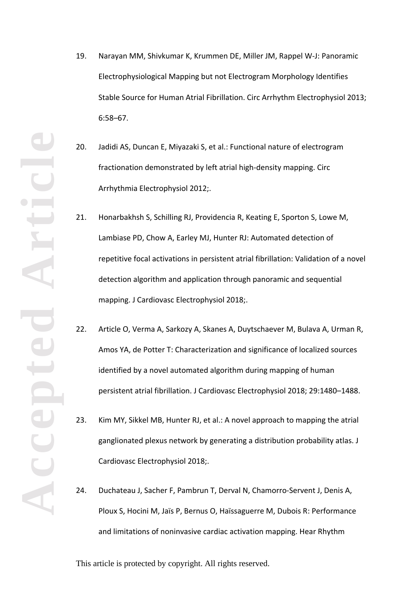- **Accepted Article**
- 19. Narayan MM, Shivkumar K, Krummen DE, Miller JM, Rappel W-J: Panoramic Electrophysiological Mapping but not Electrogram Morphology Identifies Stable Source for Human Atrial Fibrillation. Circ Arrhythm Electrophysiol 2013; 6:58–67.
- 20. Jadidi AS, Duncan E, Miyazaki S, et al.: Functional nature of electrogram fractionation demonstrated by left atrial high-density mapping. Circ Arrhythmia Electrophysiol 2012;.
- 21. Honarbakhsh S, Schilling RJ, Providencia R, Keating E, Sporton S, Lowe M, Lambiase PD, Chow A, Earley MJ, Hunter RJ: Automated detection of repetitive focal activations in persistent atrial fibrillation: Validation of a novel detection algorithm and application through panoramic and sequential mapping. J Cardiovasc Electrophysiol 2018;.
- 22. Article O, Verma A, Sarkozy A, Skanes A, Duytschaever M, Bulava A, Urman R, Amos YA, de Potter T: Characterization and significance of localized sources identified by a novel automated algorithm during mapping of human persistent atrial fibrillation. J Cardiovasc Electrophysiol 2018; 29:1480–1488.
- 23. Kim MY, Sikkel MB, Hunter RJ, et al.: A novel approach to mapping the atrial ganglionated plexus network by generating a distribution probability atlas. J Cardiovasc Electrophysiol 2018;.
- 24. Duchateau J, Sacher F, Pambrun T, Derval N, Chamorro-Servent J, Denis A, Ploux S, Hocini M, Jaïs P, Bernus O, Haïssaguerre M, Dubois R: Performance and limitations of noninvasive cardiac activation mapping. Hear Rhythm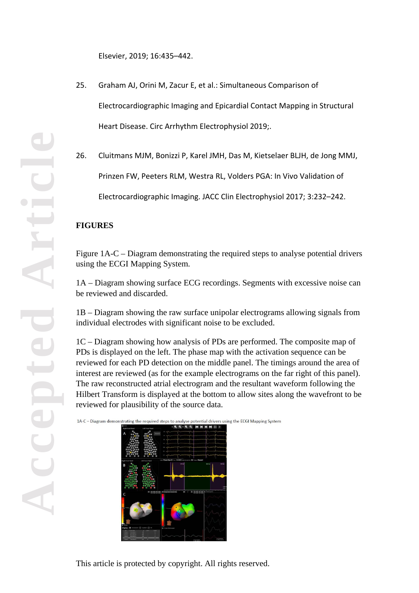Elsevier, 2019; 16:435–442.

- 25. Graham AJ, Orini M, Zacur E, et al.: Simultaneous Comparison of Electrocardiographic Imaging and Epicardial Contact Mapping in Structural Heart Disease. Circ Arrhythm Electrophysiol 2019;.
- 26. Cluitmans MJM, Bonizzi P, Karel JMH, Das M, Kietselaer BLJH, de Jong MMJ, Prinzen FW, Peeters RLM, Westra RL, Volders PGA: In Vivo Validation of Electrocardiographic Imaging. JACC Clin Electrophysiol 2017; 3:232–242.

## **FIGURES**

Figure 1A-C – Diagram demonstrating the required steps to analyse potential drivers using the ECGI Mapping System.

1A – Diagram showing surface ECG recordings. Segments with excessive noise can be reviewed and discarded.

1B – Diagram showing the raw surface unipolar electrograms allowing signals from individual electrodes with significant noise to be excluded.

1C – Diagram showing how analysis of PDs are performed. The composite map of PDs is displayed on the left. The phase map with the activation sequence can be reviewed for each PD detection on the middle panel. The timings around the area of interest are reviewed (as for the example electrograms on the far right of this panel). The raw reconstructed atrial electrogram and the resultant waveform following the Hilbert Transform is displayed at the bottom to allow sites along the wavefront to be reviewed for plausibility of the source data.

1A-C - Diagram demonstrating the required steps to analyse potential drivers using the ECGI Mapping System

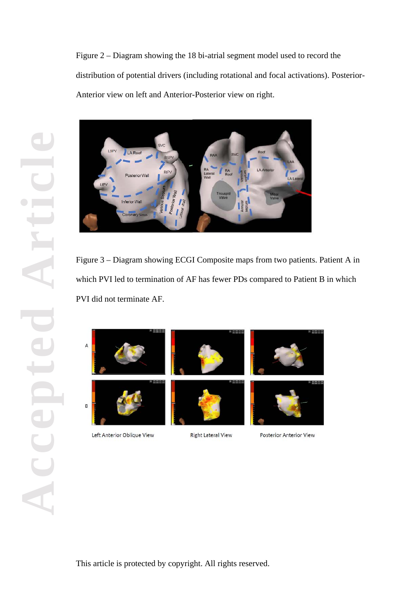Figure 2 – Diagram showing the 18 bi-atrial segment model used to record the distribution of potential drivers (including rotational and focal activations). Posterior-Anterior view on left and Anterior-Posterior view on right.



Figure 3 – Diagram showing ECGI Composite maps from two patients. Patient A in which PVI led to termination of AF has fewer PDs compared to Patient B in which PVI did not terminate AF.





Left Anterior Oblique View



**Right Lateral View** 





Posterior Anterior View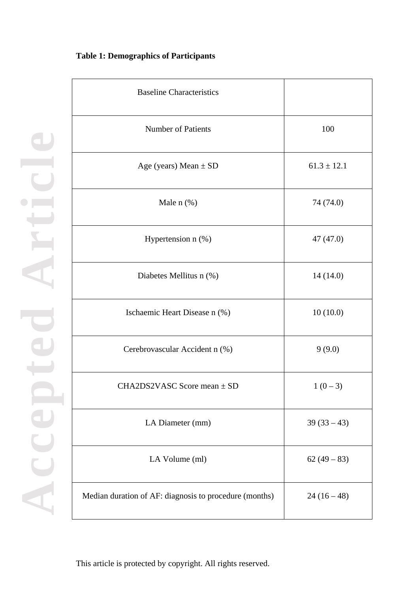## **Table 1: Demographics of Participants**

**Accepted Article**

ite

ep

Acce

**Contract** 

 $\color{red} \bullet$ 

| <b>Baseline Characteristics</b>                        |                 |
|--------------------------------------------------------|-----------------|
| <b>Number of Patients</b>                              | 100             |
| Age (years) Mean $\pm$ SD                              | $61.3 \pm 12.1$ |
| Male $n$ $(\%)$                                        | 74 (74.0)       |
| Hypertension n (%)                                     | 47(47.0)        |
| Diabetes Mellitus n (%)                                | 14(14.0)        |
| Ischaemic Heart Disease n (%)                          | 10(10.0)        |
| Cerebrovascular Accident n (%)                         | 9(9.0)          |
| CHA2DS2VASC Score mean $\pm$ SD                        | $1(0-3)$        |
| LA Diameter (mm)                                       | $39(33-43)$     |
| LA Volume (ml)                                         | $62(49-83)$     |
| Median duration of AF: diagnosis to procedure (months) | $24(16-48)$     |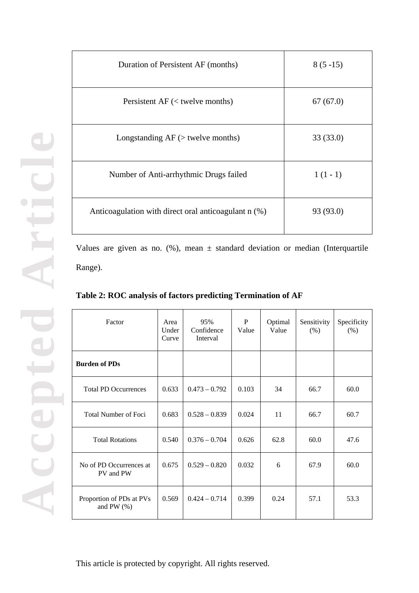| Duration of Persistent AF (months)                   | $8(5-15)$ |
|------------------------------------------------------|-----------|
| Persistent $AF$ (< twelve months)                    | 67(67.0)  |
| Longstanding $AF$ ( $>$ twelve months)               | 33 (33.0) |
| Number of Anti-arrhythmic Drugs failed               | $1(1-1)$  |
| Anticoagulation with direct oral anticoagulant n (%) | 93 (93.0) |

Values are given as no.  $(\%)$ , mean  $\pm$  standard deviation or median (Interquartile Range).

| Factor                                     | Area<br>Under<br>Curve | 95%<br>Confidence<br>Interval | P<br>Value | Optimal<br>Value | Sensitivity<br>(% ) | Specificity<br>(% ) |
|--------------------------------------------|------------------------|-------------------------------|------------|------------------|---------------------|---------------------|
| <b>Burden of PDs</b>                       |                        |                               |            |                  |                     |                     |
| <b>Total PD Occurrences</b>                | 0.633                  | $0.473 - 0.792$               | 0.103      | 34               | 66.7                | 60.0                |
| <b>Total Number of Foci</b>                | 0.683                  | $0.528 - 0.839$               | 0.024      | 11               | 66.7                | 60.7                |
| <b>Total Rotations</b>                     | 0.540                  | $0.376 - 0.704$               | 0.626      | 62.8             | 60.0                | 47.6                |
| No of PD Occurrences at<br>PV and PW       | 0.675                  | $0.529 - 0.820$               | 0.032      | 6                | 67.9                | 60.0                |
| Proportion of PDs at PVs<br>and PW $(\% )$ | 0.569                  | $0.424 - 0.714$               | 0.399      | 0.24             | 57.1                | 53.3                |

**Table 2: ROC analysis of factors predicting Termination of AF**